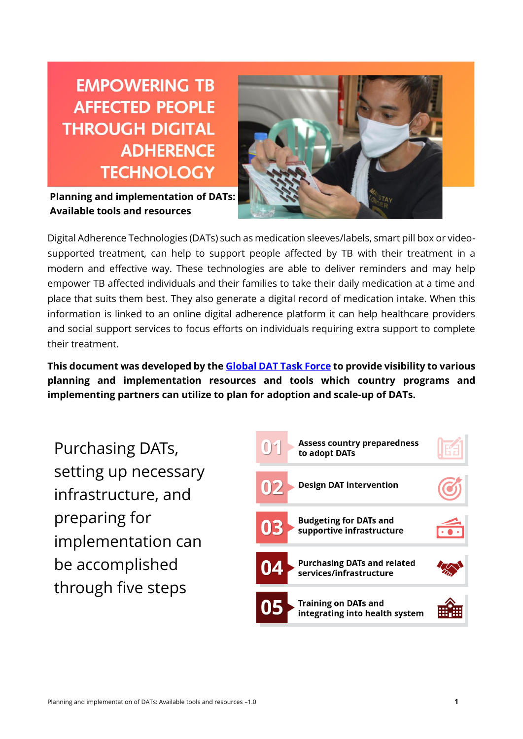**EMPOWERING TB AFFECTED PEOPLE THROUGH DIGITAL ADHERENCE TECHNOLOGY** 

**Planning and implementation of DATs: Available tools and resources**



Digital Adherence Technologies (DATs) such as medication sleeves/labels, smart pill box or videosupported treatment, can help to support people affected by TB with their treatment in a modern and effective way. These technologies are able to deliver reminders and may help empower TB affected individuals and their families to take their daily medication at a time and place that suits them best. They also generate a digital record of medication intake. When this information is linked to an online digital adherence platform it can help healthcare providers and social support services to focus efforts on individuals requiring extra support to complete their treatment.

**This document was developed by the [Global DAT Task Force](http://www.stoptb.org/siif/globaldat.asp) to provide visibility to various planning and implementation resources and tools which country programs and implementing partners can utilize to plan for adoption and scale-up of DATs.** 

Purchasing DATs, setting up necessary infrastructure, and preparing for implementation can be accomplished through five steps

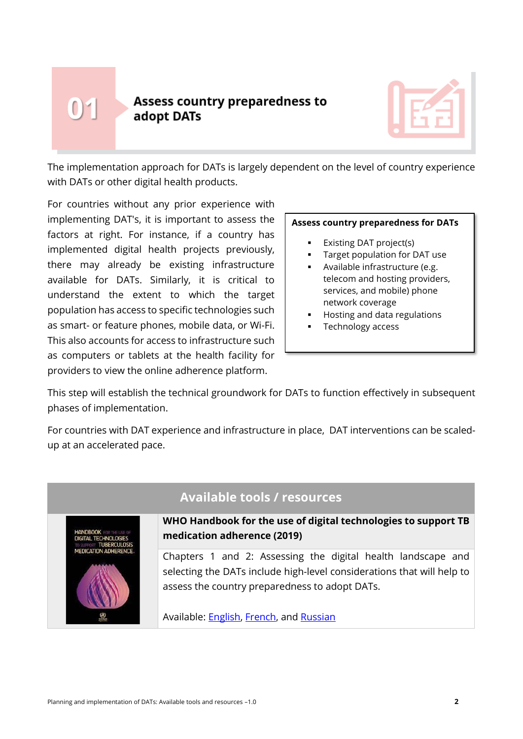# $0<sup>1</sup>$

## **Assess country preparedness to** adopt DATs



The implementation approach for DATs is largely dependent on the level of country experience with DATs or other digital health products.

For countries without any prior experience with implementing DAT's, it is important to assess the factors at right. For instance, if a country has implemented digital health projects previously, there may already be existing infrastructure available for DATs. Similarly, it is critical to understand the extent to which the target population has access to specific technologies such as smart- or feature phones, mobile data, or Wi-Fi. This also accounts for access to infrastructure such as computers or tablets at the health facility for providers to view the online adherence platform.

#### **Assess country preparedness for DATs**

- Existing DAT project(s)
- Target population for DAT use
- Available infrastructure (e.g. telecom and hosting providers, services, and mobile) phone network coverage
- Hosting and data regulations
- Technology access

This step will establish the technical groundwork for DATs to function effectively in subsequent phases of implementation.

For countries with DAT experience and infrastructure in place, DAT interventions can be scaledup at an accelerated pace.



# **Available tools / resources**

**WHO Handbook for the use of digital technologies to support TB medication adherence (2019)**

Chapters 1 and 2: Assessing the digital health landscape and selecting the DATs include high-level considerations that will help to assess the country preparedness to adopt DATs.

Available: **English, French**, and **Russian**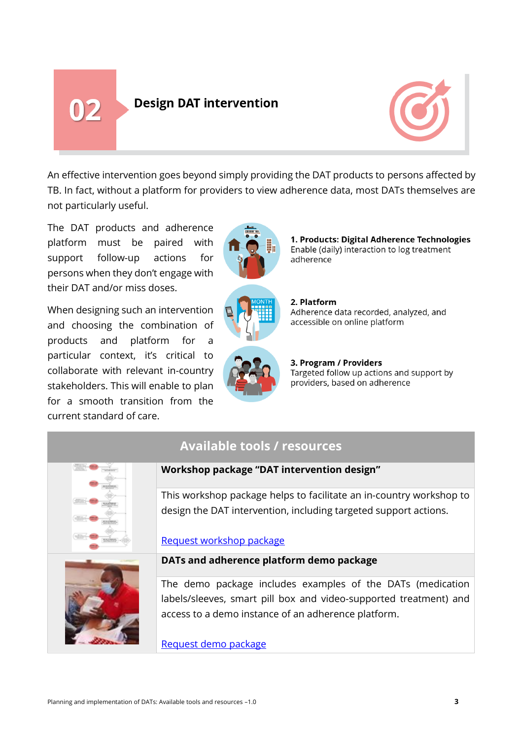02

# **Design DAT intervention**



An effective intervention goes beyond simply providing the DAT products to persons affected by TB. In fact, without a platform for providers to view adherence data, most DATs themselves are not particularly useful.

The DAT products and adherence platform must be paired with support follow-up actions for persons when they don't engage with their DAT and/or miss doses.

When designing such an intervention and choosing the combination of products and platform for a particular context, it's critical to collaborate with relevant in-country stakeholders. This will enable to plan for a smooth transition from the current standard of care.





1. Products: Digital Adherence Technologies Enable (daily) interaction to log treatment adherence

2. Platform Adherence data recorded, analyzed, and accessible on online platform

3. Program / Providers Targeted follow up actions and support by providers, based on adherence

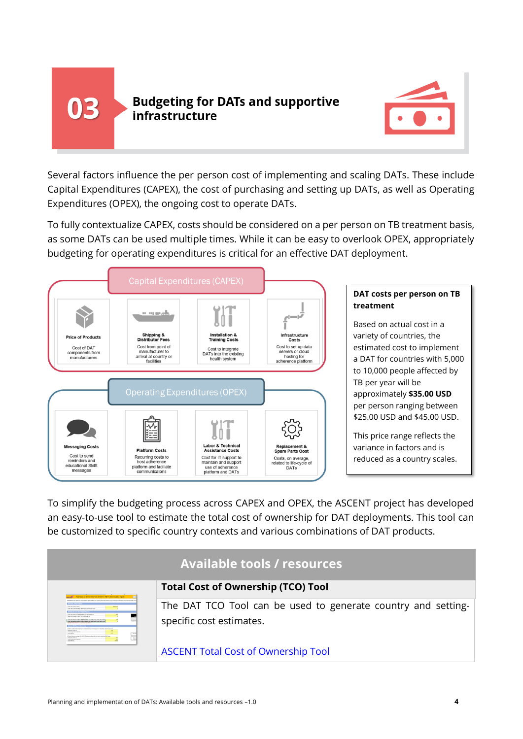

## **Budgeting for DATs and supportive** infrastructure



Several factors influence the per person cost of implementing and scaling DATs. These include Capital Expenditures (CAPEX), the cost of purchasing and setting up DATs, as well as Operating Expenditures (OPEX), the ongoing cost to operate DATs.

To fully contextualize CAPEX, costs should be considered on a per person on TB treatment basis, as some DATs can be used multiple times. While it can be easy to overlook OPEX, appropriately budgeting for operating expenditures is critical for an effective DAT deployment.



To simplify the budgeting process across CAPEX and OPEX, the ASCENT project has developed an easy-to-use tool to estimate the total cost of ownership for DAT deployments. This tool can be customized to specific country contexts and various combinations of DAT products.

| <b>Available tools / resources</b>                                                                                                                                                                                                                                                                                                                                                                                                                                                                                             |                                                               |  |
|--------------------------------------------------------------------------------------------------------------------------------------------------------------------------------------------------------------------------------------------------------------------------------------------------------------------------------------------------------------------------------------------------------------------------------------------------------------------------------------------------------------------------------|---------------------------------------------------------------|--|
| Tutal Good of Oneversity Tool, GATs for TD Treatment   Data Inputs                                                                                                                                                                                                                                                                                                                                                                                                                                                             | <b>Total Cost of Ownership (TCO) Tool</b>                     |  |
| <b>Extra dia constituit con</b><br>\$100 \$10 percent excitation can ad heat contains \$1.50                                                                                                                                                                                                                                                                                                                                                                                                                                   | The DAT TCO Tool can be used to generate country and setting- |  |
| <b>Searche custom of years you wind to elect it</b><br>tion to expect mode of the Mondayle or both who ad in pair fol-<br>the fire a minor contract of the bibliothers and builder who will be under the<br><b>L. Miller of the Card State</b><br><b>Statement Street</b><br><b>Street Supervisor Trac</b><br>$10-16$<br><b>Breakfield</b><br>3. Subject that permanentages (for of \$4.5 Th performs, that will your work performant but the<br>弖<br><b><i><u>Statistics Statistics</u></i></b><br><b>Use Leaster Texting</b> | specific cost estimates.                                      |  |
|                                                                                                                                                                                                                                                                                                                                                                                                                                                                                                                                | <b>ASCENT Total Cost of Ownership Tool</b>                    |  |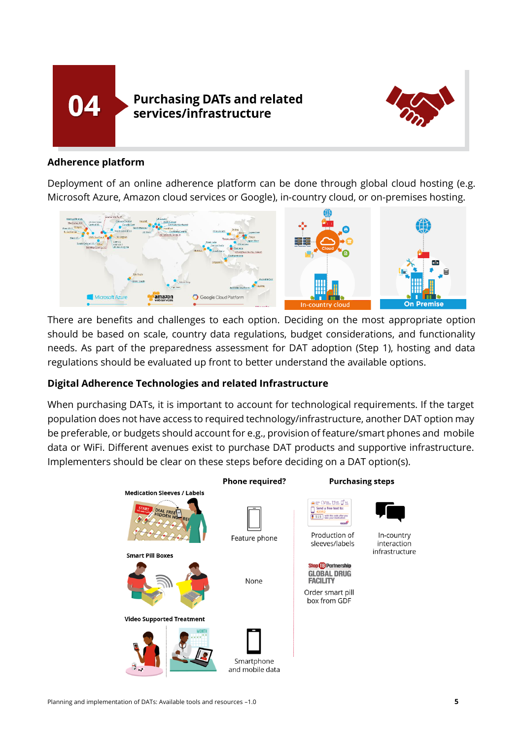



#### **Adherence platform**

Deployment of an online adherence platform can be done through global cloud hosting (e.g. Microsoft Azure, Amazon cloud services or Google), in-country cloud, or on-premises hosting.



There are benefits and challenges to each option. Deciding on the most appropriate option should be based on scale, country data regulations, budget considerations, and functionality needs. As part of the preparedness assessment for DAT adoption (Step 1), hosting and data regulations should be evaluated up front to better understand the available options.

#### **Digital Adherence Technologies and related Infrastructure**

When purchasing DATs, it is important to account for technological requirements. If the target population does not have access to required technology/infrastructure, another DAT option may be preferable, or budgets should account for e.g., provision of feature/smart phones and mobile data or WiFi. Different avenues exist to purchase DAT products and supportive infrastructure. Implementers should be clear on these steps before deciding on a DAT option(s).

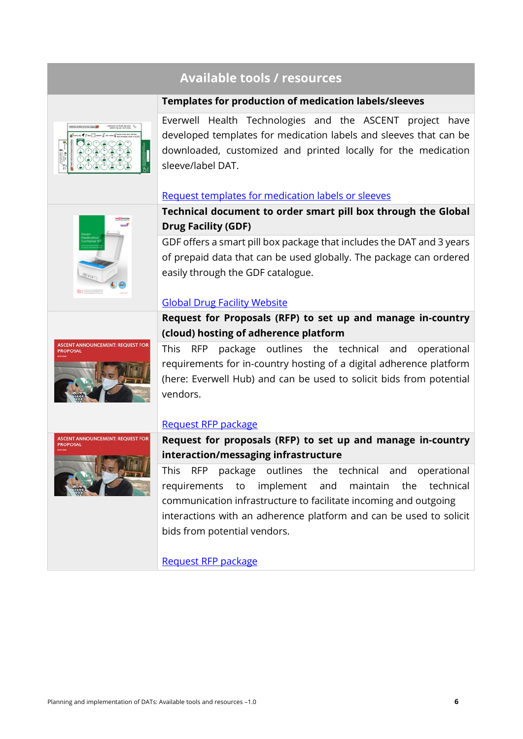# **Available tools / resources**

#### **Templates for production of medication labels/sleeves**



Everwell Health Technologies and the ASCENT project have developed templates for medication labels and sleeves that can be downloaded, customized and printed locally for the medication sleeve/label DAT.

#### [Request templates for medication labels or sleeves](https://www.digitaladherence.org/support/)



**Technical document to order smart pill box through the Global Drug Facility (GDF)**

GDF offers a smart pill box package that includes the DAT and 3 years of prepaid data that can be used globally. The package can ordered easily through the GDF catalogue.

#### [Global Drug Facility Website](http://www.stoptb.org/assets/documents/gdf/drugsupply/TIN_SMCK.pdf)



**Request for Proposals (RFP) to set up and manage in-country (cloud) hosting of adherence platform** This RFP package outlines the technical and operational

requirements for in-country hosting of a digital adherence platform (here: Everwell Hub) and can be used to solicit bids from potential vendors.

#### [Request RFP package](https://www.digitaladherence.org/support/)

ASCENT ANNOUNCEMENT: REQUEST F

**Request for proposals (RFP) to set up and manage in-country interaction/messaging infrastructure**

This RFP package outlines the technical and operational requirements to implement and maintain the technical communication infrastructure to facilitate incoming and outgoing interactions with an adherence platform and can be used to solicit bids from potential vendors.

[Request RFP package](https://www.digitaladherence.org/support/)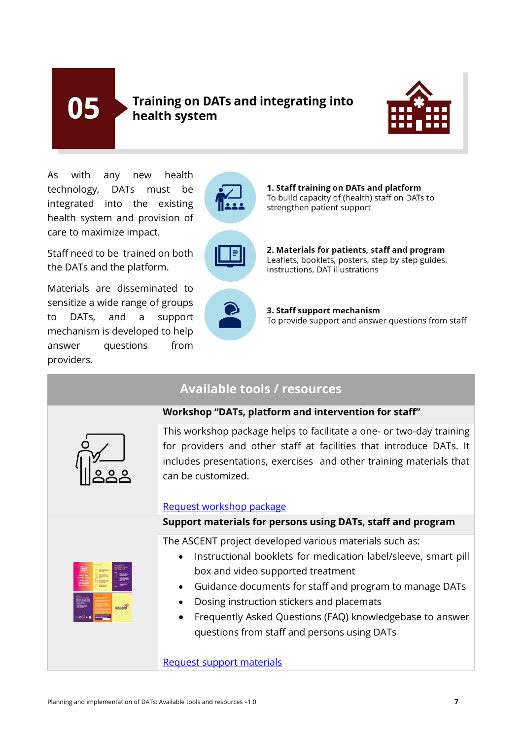05

# Training on DATs and integrating into health system



As with any new health technology, DATs must be integrated into the existing health system and provision of care to maximize impact.

Staff need to be trained on both the DATs and the platform.

Materials are disseminated to sensitize a wide range of groups to DATs, and a support mechanism is developed to help answer questions from providers.



1. Staff training on DATs and platform To build capacity of (health) staff on DATs to strengthen patient support



2. Materials for patients, staff and program Leaflets, booklets, posters, step by step guides, instructions. DAT illustrations



3. Staff support mechanism To provide support and answer questions from staff

| <b>Available tools / resources</b> |                                                                                                                                                                                                                                                                                                                                                                                   |  |
|------------------------------------|-----------------------------------------------------------------------------------------------------------------------------------------------------------------------------------------------------------------------------------------------------------------------------------------------------------------------------------------------------------------------------------|--|
|                                    | Workshop "DATs, platform and intervention for staff"                                                                                                                                                                                                                                                                                                                              |  |
|                                    | This workshop package helps to facilitate a one- or two-day training<br>for providers and other staff at facilities that introduce DATs. It<br>includes presentations, exercises and other training materials that<br>can be customized.<br>Request workshop package                                                                                                              |  |
|                                    | Support materials for persons using DATs, staff and program                                                                                                                                                                                                                                                                                                                       |  |
| ascen                              | The ASCENT project developed various materials such as:<br>Instructional booklets for medication label/sleeve, smart pill<br>box and video supported treatment<br>Guidance documents for staff and program to manage DATs<br>Dosing instruction stickers and placemats<br>Frequently Asked Questions (FAQ) knowledgebase to answer<br>questions from staff and persons using DATs |  |
|                                    | <b>Request support materials</b>                                                                                                                                                                                                                                                                                                                                                  |  |